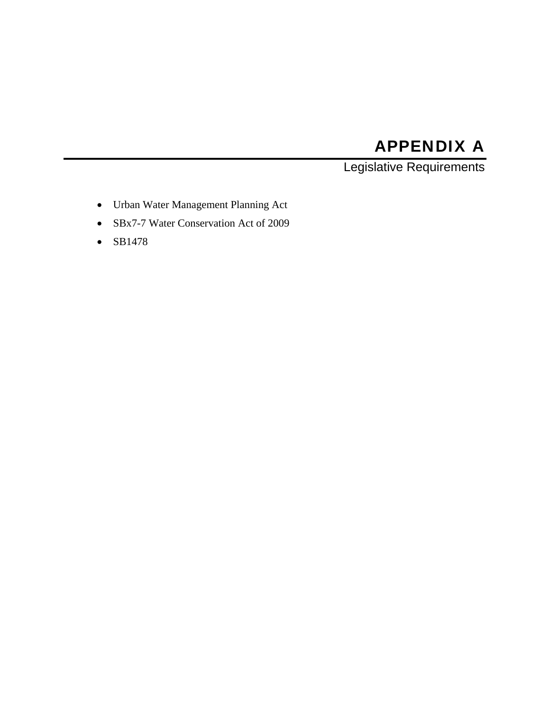# APPENDIX A

Legislative Requirements

- Urban Water Management Planning Act
- SBx7-7 Water Conservation Act of 2009
- $\bullet$  SB1478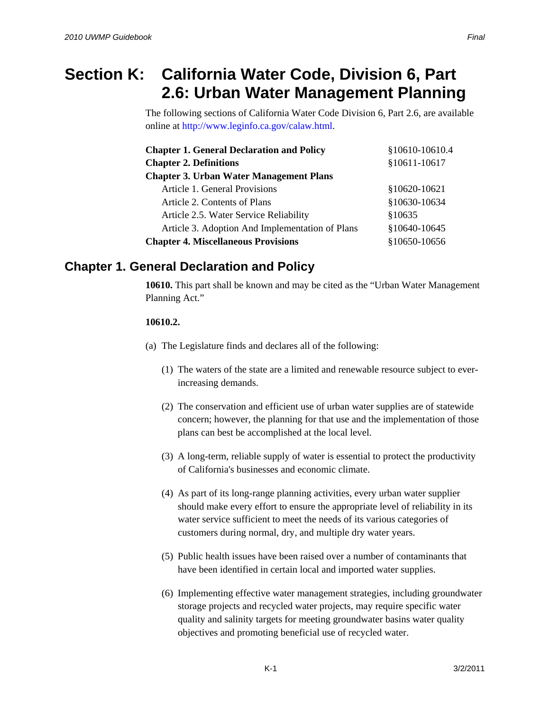# **Section K: California Water Code, Division 6, Part 2.6: Urban Water Management Planning**

The following sections of California Water Code Division 6, Part 2.6, are available online at http://www.leginfo.ca.gov/calaw.html.

| <b>Chapter 1. General Declaration and Policy</b> | §10610-10610.4 |
|--------------------------------------------------|----------------|
| <b>Chapter 2. Definitions</b>                    | §10611-10617   |
| <b>Chapter 3. Urban Water Management Plans</b>   |                |
| Article 1. General Provisions                    | §10620-10621   |
| Article 2. Contents of Plans                     | §10630-10634   |
| Article 2.5. Water Service Reliability           | §10635         |
| Article 3. Adoption And Implementation of Plans  | §10640-10645   |
| <b>Chapter 4. Miscellaneous Provisions</b>       | §10650-10656   |

## **Chapter 1. General Declaration and Policy**

**10610.** This part shall be known and may be cited as the "Urban Water Management Planning Act."

### **10610.2.**

- (a) The Legislature finds and declares all of the following:
	- (1) The waters of the state are a limited and renewable resource subject to everincreasing demands.
	- (2) The conservation and efficient use of urban water supplies are of statewide concern; however, the planning for that use and the implementation of those plans can best be accomplished at the local level.
	- (3) A long-term, reliable supply of water is essential to protect the productivity of California's businesses and economic climate.
	- (4) As part of its long-range planning activities, every urban water supplier should make every effort to ensure the appropriate level of reliability in its water service sufficient to meet the needs of its various categories of customers during normal, dry, and multiple dry water years.
	- (5) Public health issues have been raised over a number of contaminants that have been identified in certain local and imported water supplies.
	- (6) Implementing effective water management strategies, including groundwater storage projects and recycled water projects, may require specific water quality and salinity targets for meeting groundwater basins water quality objectives and promoting beneficial use of recycled water.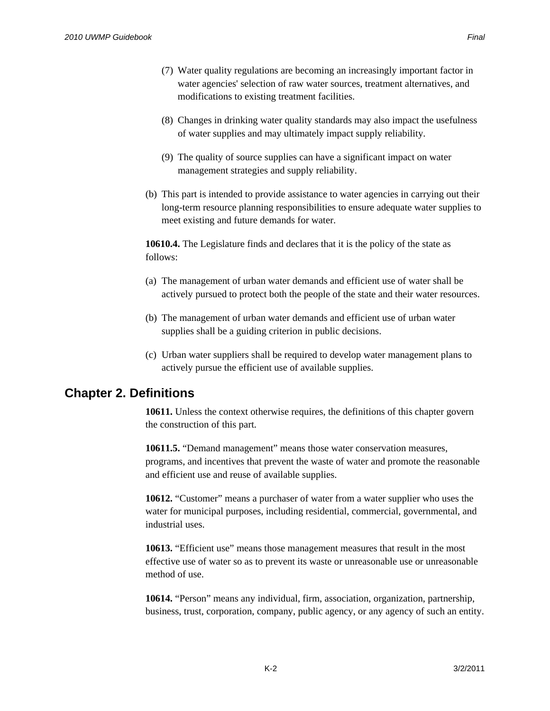- (7) Water quality regulations are becoming an increasingly important factor in water agencies' selection of raw water sources, treatment alternatives, and modifications to existing treatment facilities.
- (8) Changes in drinking water quality standards may also impact the usefulness of water supplies and may ultimately impact supply reliability.
- (9) The quality of source supplies can have a significant impact on water management strategies and supply reliability.
- (b) This part is intended to provide assistance to water agencies in carrying out their long-term resource planning responsibilities to ensure adequate water supplies to meet existing and future demands for water.

**10610.4.** The Legislature finds and declares that it is the policy of the state as follows:

- (a) The management of urban water demands and efficient use of water shall be actively pursued to protect both the people of the state and their water resources.
- (b) The management of urban water demands and efficient use of urban water supplies shall be a guiding criterion in public decisions.
- (c) Urban water suppliers shall be required to develop water management plans to actively pursue the efficient use of available supplies.

### **Chapter 2. Definitions**

**10611.** Unless the context otherwise requires, the definitions of this chapter govern the construction of this part.

**10611.5.** "Demand management" means those water conservation measures, programs, and incentives that prevent the waste of water and promote the reasonable and efficient use and reuse of available supplies.

**10612.** "Customer" means a purchaser of water from a water supplier who uses the water for municipal purposes, including residential, commercial, governmental, and industrial uses.

**10613.** "Efficient use" means those management measures that result in the most effective use of water so as to prevent its waste or unreasonable use or unreasonable method of use.

**10614.** "Person" means any individual, firm, association, organization, partnership, business, trust, corporation, company, public agency, or any agency of such an entity.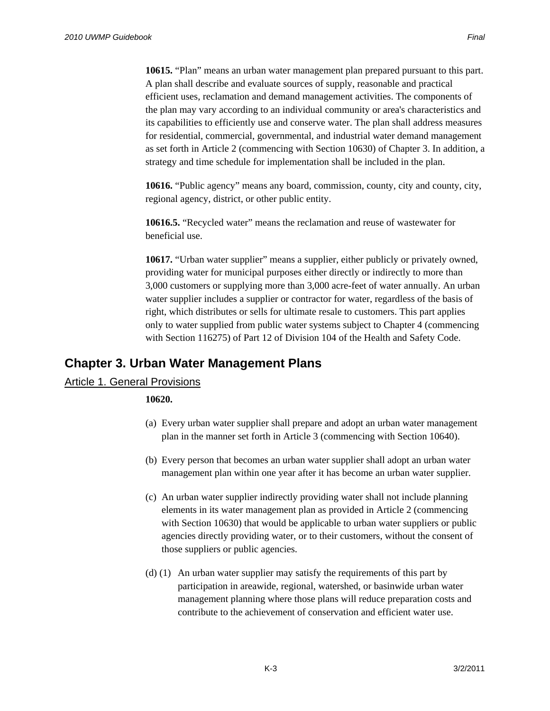**10615.** "Plan" means an urban water management plan prepared pursuant to this part. A plan shall describe and evaluate sources of supply, reasonable and practical efficient uses, reclamation and demand management activities. The components of the plan may vary according to an individual community or area's characteristics and its capabilities to efficiently use and conserve water. The plan shall address measures for residential, commercial, governmental, and industrial water demand management as set forth in Article 2 (commencing with Section 10630) of Chapter 3. In addition, a strategy and time schedule for implementation shall be included in the plan.

**10616.** "Public agency" means any board, commission, county, city and county, city, regional agency, district, or other public entity.

**10616.5.** "Recycled water" means the reclamation and reuse of wastewater for beneficial use.

**10617.** "Urban water supplier" means a supplier, either publicly or privately owned, providing water for municipal purposes either directly or indirectly to more than 3,000 customers or supplying more than 3,000 acre-feet of water annually. An urban water supplier includes a supplier or contractor for water, regardless of the basis of right, which distributes or sells for ultimate resale to customers. This part applies only to water supplied from public water systems subject to Chapter 4 (commencing with Section 116275) of Part 12 of Division 104 of the Health and Safety Code.

# **Chapter 3. Urban Water Management Plans**

### Article 1. General Provisions

### **10620.**

- (a) Every urban water supplier shall prepare and adopt an urban water management plan in the manner set forth in Article 3 (commencing with Section 10640).
- (b) Every person that becomes an urban water supplier shall adopt an urban water management plan within one year after it has become an urban water supplier.
- (c) An urban water supplier indirectly providing water shall not include planning elements in its water management plan as provided in Article 2 (commencing with Section 10630) that would be applicable to urban water suppliers or public agencies directly providing water, or to their customers, without the consent of those suppliers or public agencies.
- (d) (1) An urban water supplier may satisfy the requirements of this part by participation in areawide, regional, watershed, or basinwide urban water management planning where those plans will reduce preparation costs and contribute to the achievement of conservation and efficient water use.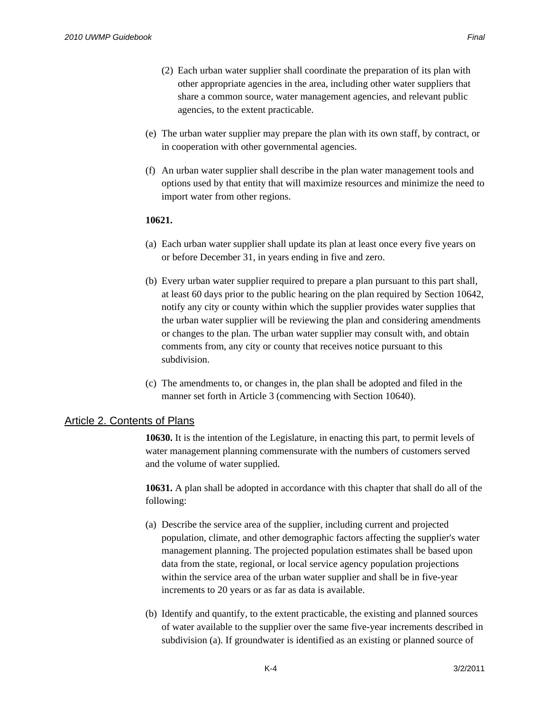- (e) The urban water supplier may prepare the plan with its own staff, by contract, or in cooperation with other governmental agencies.
- (f) An urban water supplier shall describe in the plan water management tools and options used by that entity that will maximize resources and minimize the need to import water from other regions.

### **10621.**

- (a) Each urban water supplier shall update its plan at least once every five years on or before December 31, in years ending in five and zero.
- (b) Every urban water supplier required to prepare a plan pursuant to this part shall, at least 60 days prior to the public hearing on the plan required by Section 10642, notify any city or county within which the supplier provides water supplies that the urban water supplier will be reviewing the plan and considering amendments or changes to the plan. The urban water supplier may consult with, and obtain comments from, any city or county that receives notice pursuant to this subdivision.
- (c) The amendments to, or changes in, the plan shall be adopted and filed in the manner set forth in Article 3 (commencing with Section 10640).

### Article 2. Contents of Plans

**10630.** It is the intention of the Legislature, in enacting this part, to permit levels of water management planning commensurate with the numbers of customers served and the volume of water supplied.

**10631.** A plan shall be adopted in accordance with this chapter that shall do all of the following:

- (a) Describe the service area of the supplier, including current and projected population, climate, and other demographic factors affecting the supplier's water management planning. The projected population estimates shall be based upon data from the state, regional, or local service agency population projections within the service area of the urban water supplier and shall be in five-year increments to 20 years or as far as data is available.
- (b) Identify and quantify, to the extent practicable, the existing and planned sources of water available to the supplier over the same five-year increments described in subdivision (a). If groundwater is identified as an existing or planned source of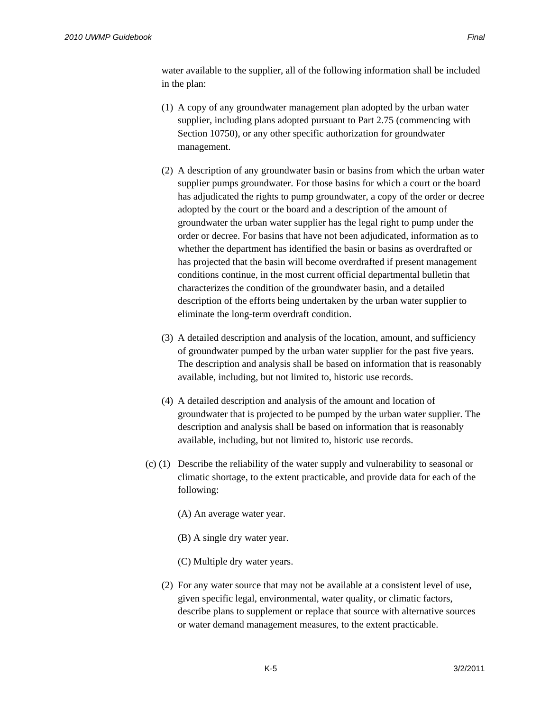water available to the supplier, all of the following information shall be included in the plan:

- (1) A copy of any groundwater management plan adopted by the urban water supplier, including plans adopted pursuant to Part 2.75 (commencing with Section 10750), or any other specific authorization for groundwater management.
- (2) A description of any groundwater basin or basins from which the urban water supplier pumps groundwater. For those basins for which a court or the board has adjudicated the rights to pump groundwater, a copy of the order or decree adopted by the court or the board and a description of the amount of groundwater the urban water supplier has the legal right to pump under the order or decree. For basins that have not been adjudicated, information as to whether the department has identified the basin or basins as overdrafted or has projected that the basin will become overdrafted if present management conditions continue, in the most current official departmental bulletin that characterizes the condition of the groundwater basin, and a detailed description of the efforts being undertaken by the urban water supplier to eliminate the long-term overdraft condition.
- (3) A detailed description and analysis of the location, amount, and sufficiency of groundwater pumped by the urban water supplier for the past five years. The description and analysis shall be based on information that is reasonably available, including, but not limited to, historic use records.
- (4) A detailed description and analysis of the amount and location of groundwater that is projected to be pumped by the urban water supplier. The description and analysis shall be based on information that is reasonably available, including, but not limited to, historic use records.
- (c) (1) Describe the reliability of the water supply and vulnerability to seasonal or climatic shortage, to the extent practicable, and provide data for each of the following:
	- (A) An average water year.
	- (B) A single dry water year.
	- (C) Multiple dry water years.
	- (2) For any water source that may not be available at a consistent level of use, given specific legal, environmental, water quality, or climatic factors, describe plans to supplement or replace that source with alternative sources or water demand management measures, to the extent practicable.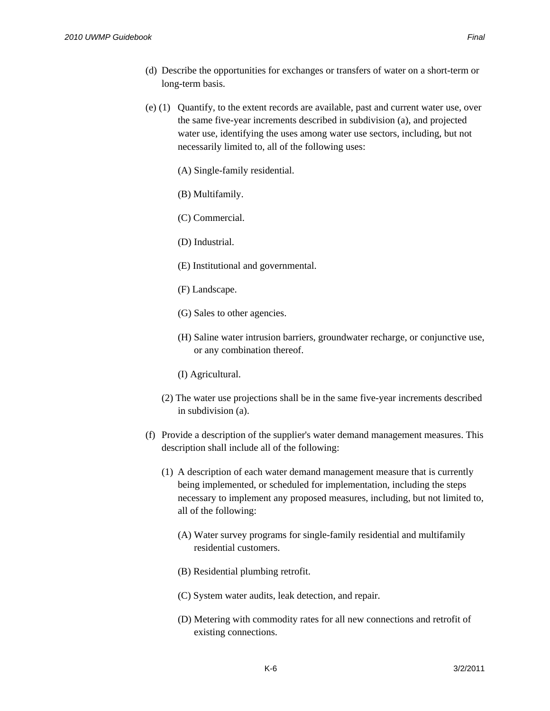- (d) Describe the opportunities for exchanges or transfers of water on a short-term or long-term basis.
- (e) (1) Quantify, to the extent records are available, past and current water use, over the same five-year increments described in subdivision (a), and projected water use, identifying the uses among water use sectors, including, but not necessarily limited to, all of the following uses:
	- (A) Single-family residential.
	- (B) Multifamily.
	- (C) Commercial.
	- (D) Industrial.
	- (E) Institutional and governmental.
	- (F) Landscape.
	- (G) Sales to other agencies.
	- (H) Saline water intrusion barriers, groundwater recharge, or conjunctive use, or any combination thereof.
	- (I) Agricultural.
	- (2) The water use projections shall be in the same five-year increments described in subdivision (a).
- (f) Provide a description of the supplier's water demand management measures. This description shall include all of the following:
	- (1) A description of each water demand management measure that is currently being implemented, or scheduled for implementation, including the steps necessary to implement any proposed measures, including, but not limited to, all of the following:
		- (A) Water survey programs for single-family residential and multifamily residential customers.
		- (B) Residential plumbing retrofit.
		- (C) System water audits, leak detection, and repair.
		- (D) Metering with commodity rates for all new connections and retrofit of existing connections.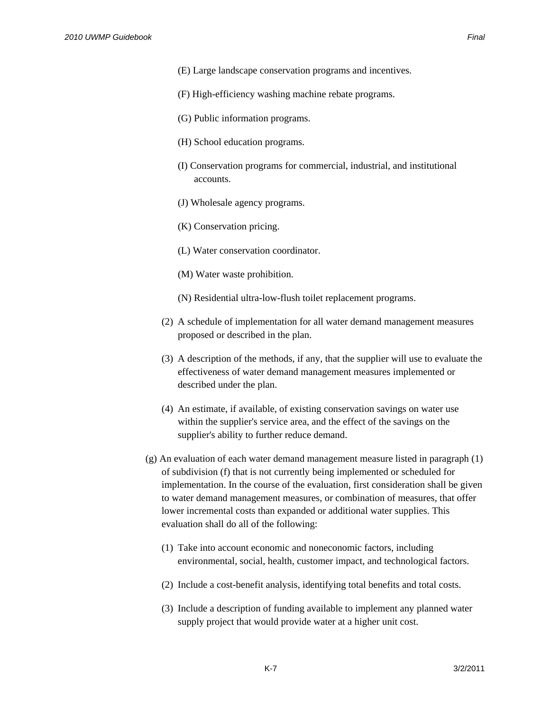- (E) Large landscape conservation programs and incentives.
- (F) High-efficiency washing machine rebate programs.
- (G) Public information programs.
- (H) School education programs.
- (I) Conservation programs for commercial, industrial, and institutional accounts.
- (J) Wholesale agency programs.
- (K) Conservation pricing.
- (L) Water conservation coordinator.
- (M) Water waste prohibition.
- (N) Residential ultra-low-flush toilet replacement programs.
- (2) A schedule of implementation for all water demand management measures proposed or described in the plan.
- (3) A description of the methods, if any, that the supplier will use to evaluate the effectiveness of water demand management measures implemented or described under the plan.
- (4) An estimate, if available, of existing conservation savings on water use within the supplier's service area, and the effect of the savings on the supplier's ability to further reduce demand.
- (g) An evaluation of each water demand management measure listed in paragraph (1) of subdivision (f) that is not currently being implemented or scheduled for implementation. In the course of the evaluation, first consideration shall be given to water demand management measures, or combination of measures, that offer lower incremental costs than expanded or additional water supplies. This evaluation shall do all of the following:
	- (1) Take into account economic and noneconomic factors, including environmental, social, health, customer impact, and technological factors.
	- (2) Include a cost-benefit analysis, identifying total benefits and total costs.
	- (3) Include a description of funding available to implement any planned water supply project that would provide water at a higher unit cost.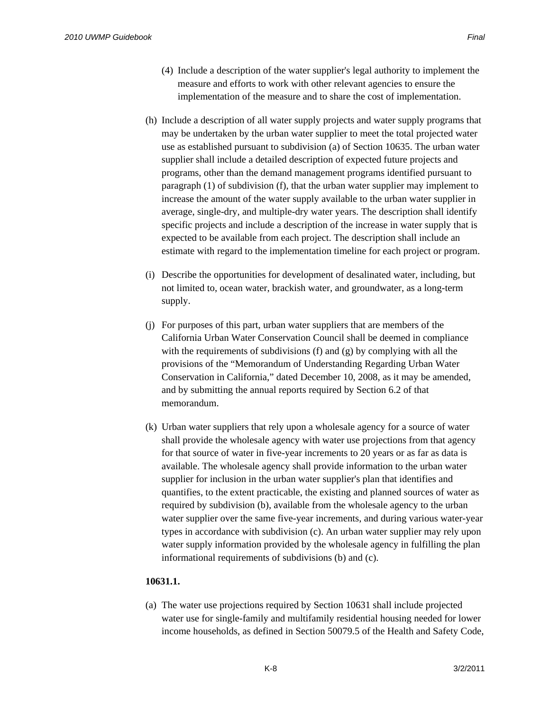- (4) Include a description of the water supplier's legal authority to implement the measure and efforts to work with other relevant agencies to ensure the implementation of the measure and to share the cost of implementation.
- (h) Include a description of all water supply projects and water supply programs that may be undertaken by the urban water supplier to meet the total projected water use as established pursuant to subdivision (a) of Section 10635. The urban water supplier shall include a detailed description of expected future projects and programs, other than the demand management programs identified pursuant to paragraph (1) of subdivision (f), that the urban water supplier may implement to increase the amount of the water supply available to the urban water supplier in average, single-dry, and multiple-dry water years. The description shall identify specific projects and include a description of the increase in water supply that is expected to be available from each project. The description shall include an estimate with regard to the implementation timeline for each project or program.
- (i) Describe the opportunities for development of desalinated water, including, but not limited to, ocean water, brackish water, and groundwater, as a long-term supply.
- (j) For purposes of this part, urban water suppliers that are members of the California Urban Water Conservation Council shall be deemed in compliance with the requirements of subdivisions (f) and (g) by complying with all the provisions of the "Memorandum of Understanding Regarding Urban Water Conservation in California," dated December 10, 2008, as it may be amended, and by submitting the annual reports required by Section 6.2 of that memorandum.
- (k) Urban water suppliers that rely upon a wholesale agency for a source of water shall provide the wholesale agency with water use projections from that agency for that source of water in five-year increments to 20 years or as far as data is available. The wholesale agency shall provide information to the urban water supplier for inclusion in the urban water supplier's plan that identifies and quantifies, to the extent practicable, the existing and planned sources of water as required by subdivision (b), available from the wholesale agency to the urban water supplier over the same five-year increments, and during various water-year types in accordance with subdivision (c). An urban water supplier may rely upon water supply information provided by the wholesale agency in fulfilling the plan informational requirements of subdivisions (b) and (c).

### **10631.1.**

(a) The water use projections required by Section 10631 shall include projected water use for single-family and multifamily residential housing needed for lower income households, as defined in Section 50079.5 of the Health and Safety Code,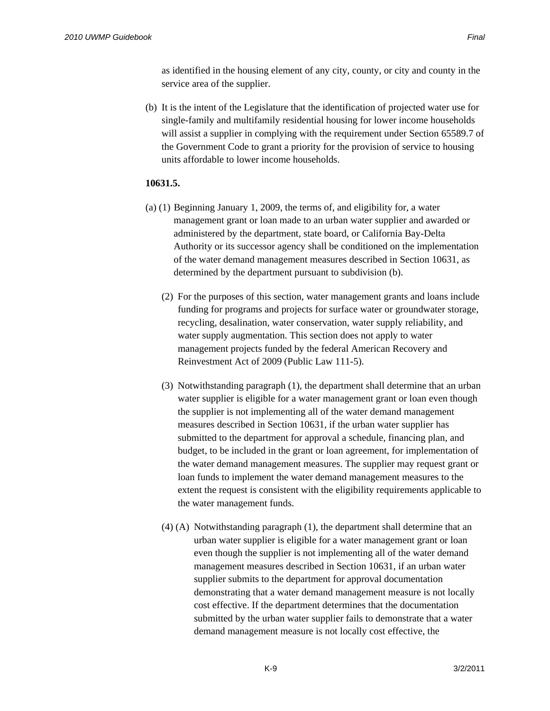as identified in the housing element of any city, county, or city and county in the service area of the supplier.

(b) It is the intent of the Legislature that the identification of projected water use for single-family and multifamily residential housing for lower income households will assist a supplier in complying with the requirement under Section 65589.7 of the Government Code to grant a priority for the provision of service to housing units affordable to lower income households.

### **10631.5.**

- (a) (1) Beginning January 1, 2009, the terms of, and eligibility for, a water management grant or loan made to an urban water supplier and awarded or administered by the department, state board, or California Bay-Delta Authority or its successor agency shall be conditioned on the implementation of the water demand management measures described in Section 10631, as determined by the department pursuant to subdivision (b).
	- (2) For the purposes of this section, water management grants and loans include funding for programs and projects for surface water or groundwater storage, recycling, desalination, water conservation, water supply reliability, and water supply augmentation. This section does not apply to water management projects funded by the federal American Recovery and Reinvestment Act of 2009 (Public Law 111-5).
	- (3) Notwithstanding paragraph (1), the department shall determine that an urban water supplier is eligible for a water management grant or loan even though the supplier is not implementing all of the water demand management measures described in Section 10631, if the urban water supplier has submitted to the department for approval a schedule, financing plan, and budget, to be included in the grant or loan agreement, for implementation of the water demand management measures. The supplier may request grant or loan funds to implement the water demand management measures to the extent the request is consistent with the eligibility requirements applicable to the water management funds.
	- (4) (A) Notwithstanding paragraph (1), the department shall determine that an urban water supplier is eligible for a water management grant or loan even though the supplier is not implementing all of the water demand management measures described in Section 10631, if an urban water supplier submits to the department for approval documentation demonstrating that a water demand management measure is not locally cost effective. If the department determines that the documentation submitted by the urban water supplier fails to demonstrate that a water demand management measure is not locally cost effective, the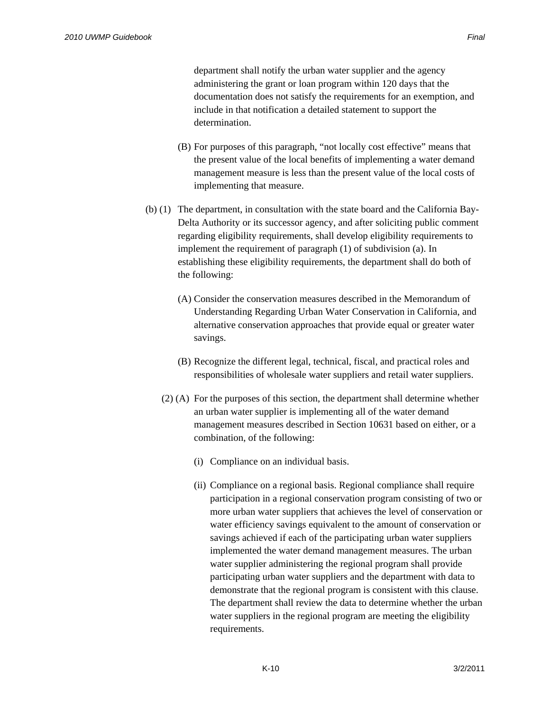department shall notify the urban water supplier and the agency administering the grant or loan program within 120 days that the documentation does not satisfy the requirements for an exemption, and include in that notification a detailed statement to support the determination.

- (B) For purposes of this paragraph, "not locally cost effective" means that the present value of the local benefits of implementing a water demand management measure is less than the present value of the local costs of implementing that measure.
- (b) (1) The department, in consultation with the state board and the California Bay-Delta Authority or its successor agency, and after soliciting public comment regarding eligibility requirements, shall develop eligibility requirements to implement the requirement of paragraph (1) of subdivision (a). In establishing these eligibility requirements, the department shall do both of the following:
	- (A) Consider the conservation measures described in the Memorandum of Understanding Regarding Urban Water Conservation in California, and alternative conservation approaches that provide equal or greater water savings.
	- (B) Recognize the different legal, technical, fiscal, and practical roles and responsibilities of wholesale water suppliers and retail water suppliers.
	- (2) (A) For the purposes of this section, the department shall determine whether an urban water supplier is implementing all of the water demand management measures described in Section 10631 based on either, or a combination, of the following:
		- (i) Compliance on an individual basis.
		- (ii) Compliance on a regional basis. Regional compliance shall require participation in a regional conservation program consisting of two or more urban water suppliers that achieves the level of conservation or water efficiency savings equivalent to the amount of conservation or savings achieved if each of the participating urban water suppliers implemented the water demand management measures. The urban water supplier administering the regional program shall provide participating urban water suppliers and the department with data to demonstrate that the regional program is consistent with this clause. The department shall review the data to determine whether the urban water suppliers in the regional program are meeting the eligibility requirements.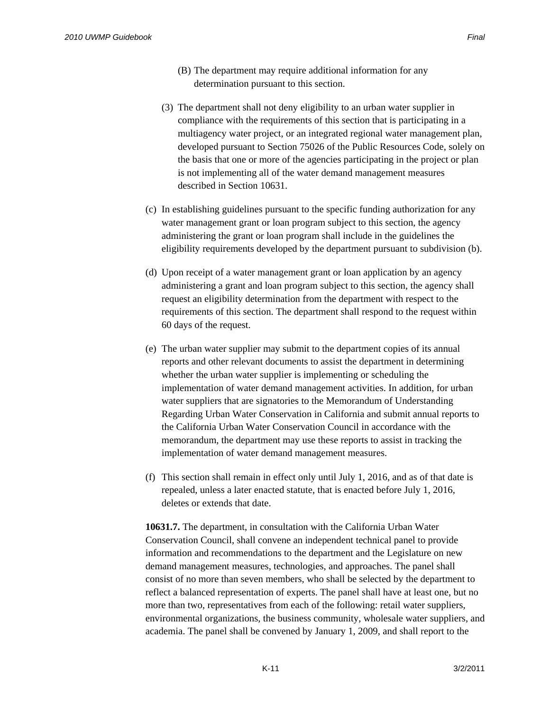- (3) The department shall not deny eligibility to an urban water supplier in compliance with the requirements of this section that is participating in a multiagency water project, or an integrated regional water management plan, developed pursuant to Section 75026 of the Public Resources Code, solely on the basis that one or more of the agencies participating in the project or plan is not implementing all of the water demand management measures described in Section 10631.
- (c) In establishing guidelines pursuant to the specific funding authorization for any water management grant or loan program subject to this section, the agency administering the grant or loan program shall include in the guidelines the eligibility requirements developed by the department pursuant to subdivision (b).
- (d) Upon receipt of a water management grant or loan application by an agency administering a grant and loan program subject to this section, the agency shall request an eligibility determination from the department with respect to the requirements of this section. The department shall respond to the request within 60 days of the request.
- (e) The urban water supplier may submit to the department copies of its annual reports and other relevant documents to assist the department in determining whether the urban water supplier is implementing or scheduling the implementation of water demand management activities. In addition, for urban water suppliers that are signatories to the Memorandum of Understanding Regarding Urban Water Conservation in California and submit annual reports to the California Urban Water Conservation Council in accordance with the memorandum, the department may use these reports to assist in tracking the implementation of water demand management measures.
- (f) This section shall remain in effect only until July 1, 2016, and as of that date is repealed, unless a later enacted statute, that is enacted before July 1, 2016, deletes or extends that date.

**10631.7.** The department, in consultation with the California Urban Water Conservation Council, shall convene an independent technical panel to provide information and recommendations to the department and the Legislature on new demand management measures, technologies, and approaches. The panel shall consist of no more than seven members, who shall be selected by the department to reflect a balanced representation of experts. The panel shall have at least one, but no more than two, representatives from each of the following: retail water suppliers, environmental organizations, the business community, wholesale water suppliers, and academia. The panel shall be convened by January 1, 2009, and shall report to the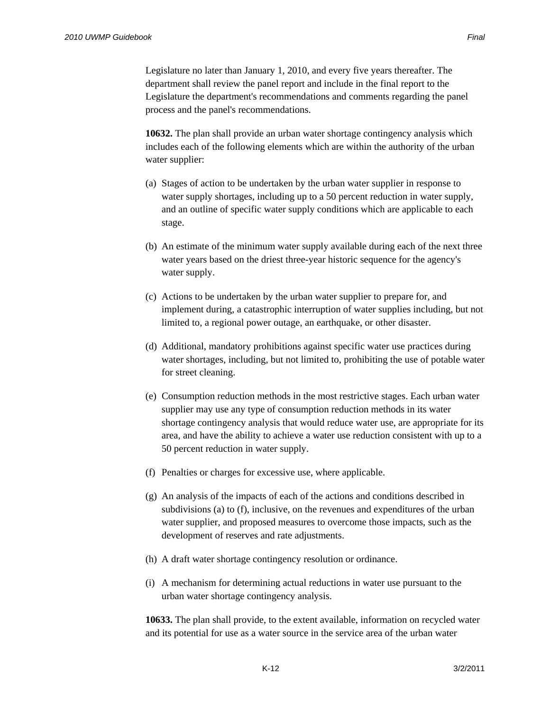Legislature no later than January 1, 2010, and every five years thereafter. The department shall review the panel report and include in the final report to the Legislature the department's recommendations and comments regarding the panel process and the panel's recommendations.

**10632.** The plan shall provide an urban water shortage contingency analysis which includes each of the following elements which are within the authority of the urban water supplier:

- (a) Stages of action to be undertaken by the urban water supplier in response to water supply shortages, including up to a 50 percent reduction in water supply, and an outline of specific water supply conditions which are applicable to each stage.
- (b) An estimate of the minimum water supply available during each of the next three water years based on the driest three-year historic sequence for the agency's water supply.
- (c) Actions to be undertaken by the urban water supplier to prepare for, and implement during, a catastrophic interruption of water supplies including, but not limited to, a regional power outage, an earthquake, or other disaster.
- (d) Additional, mandatory prohibitions against specific water use practices during water shortages, including, but not limited to, prohibiting the use of potable water for street cleaning.
- (e) Consumption reduction methods in the most restrictive stages. Each urban water supplier may use any type of consumption reduction methods in its water shortage contingency analysis that would reduce water use, are appropriate for its area, and have the ability to achieve a water use reduction consistent with up to a 50 percent reduction in water supply.
- (f) Penalties or charges for excessive use, where applicable.
- (g) An analysis of the impacts of each of the actions and conditions described in subdivisions (a) to (f), inclusive, on the revenues and expenditures of the urban water supplier, and proposed measures to overcome those impacts, such as the development of reserves and rate adjustments.
- (h) A draft water shortage contingency resolution or ordinance.
- (i) A mechanism for determining actual reductions in water use pursuant to the urban water shortage contingency analysis.

**10633.** The plan shall provide, to the extent available, information on recycled water and its potential for use as a water source in the service area of the urban water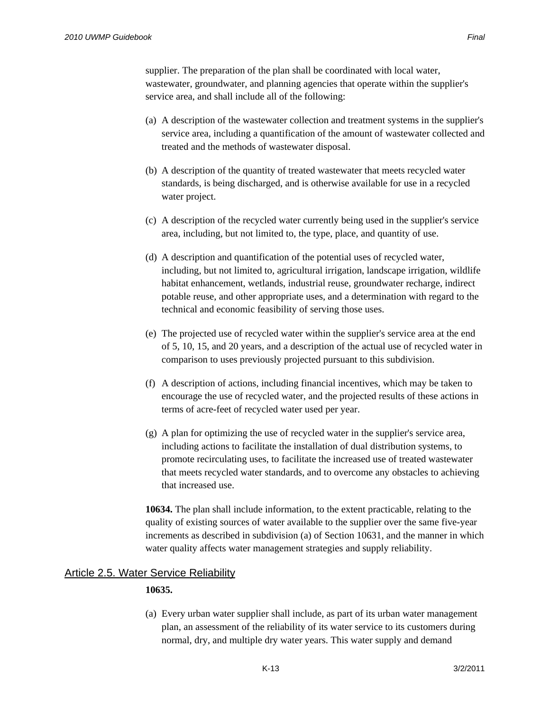supplier. The preparation of the plan shall be coordinated with local water, wastewater, groundwater, and planning agencies that operate within the supplier's service area, and shall include all of the following:

- (a) A description of the wastewater collection and treatment systems in the supplier's service area, including a quantification of the amount of wastewater collected and treated and the methods of wastewater disposal.
- (b) A description of the quantity of treated wastewater that meets recycled water standards, is being discharged, and is otherwise available for use in a recycled water project.
- (c) A description of the recycled water currently being used in the supplier's service area, including, but not limited to, the type, place, and quantity of use.
- (d) A description and quantification of the potential uses of recycled water, including, but not limited to, agricultural irrigation, landscape irrigation, wildlife habitat enhancement, wetlands, industrial reuse, groundwater recharge, indirect potable reuse, and other appropriate uses, and a determination with regard to the technical and economic feasibility of serving those uses.
- (e) The projected use of recycled water within the supplier's service area at the end of 5, 10, 15, and 20 years, and a description of the actual use of recycled water in comparison to uses previously projected pursuant to this subdivision.
- (f) A description of actions, including financial incentives, which may be taken to encourage the use of recycled water, and the projected results of these actions in terms of acre-feet of recycled water used per year.
- (g) A plan for optimizing the use of recycled water in the supplier's service area, including actions to facilitate the installation of dual distribution systems, to promote recirculating uses, to facilitate the increased use of treated wastewater that meets recycled water standards, and to overcome any obstacles to achieving that increased use.

**10634.** The plan shall include information, to the extent practicable, relating to the quality of existing sources of water available to the supplier over the same five-year increments as described in subdivision (a) of Section 10631, and the manner in which water quality affects water management strategies and supply reliability.

### **Article 2.5. Water Service Reliability**

### **10635.**

(a) Every urban water supplier shall include, as part of its urban water management plan, an assessment of the reliability of its water service to its customers during normal, dry, and multiple dry water years. This water supply and demand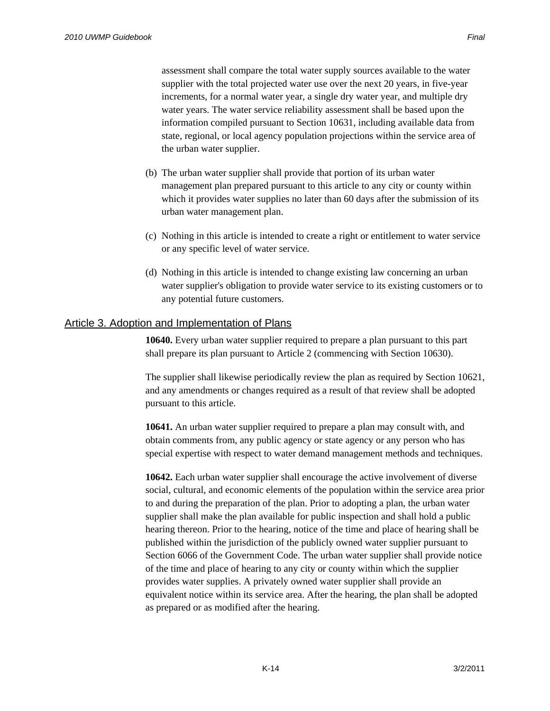assessment shall compare the total water supply sources available to the water supplier with the total projected water use over the next 20 years, in five-year increments, for a normal water year, a single dry water year, and multiple dry water years. The water service reliability assessment shall be based upon the information compiled pursuant to Section 10631, including available data from state, regional, or local agency population projections within the service area of the urban water supplier.

- (b) The urban water supplier shall provide that portion of its urban water management plan prepared pursuant to this article to any city or county within which it provides water supplies no later than 60 days after the submission of its urban water management plan.
- (c) Nothing in this article is intended to create a right or entitlement to water service or any specific level of water service.
- (d) Nothing in this article is intended to change existing law concerning an urban water supplier's obligation to provide water service to its existing customers or to any potential future customers.

### Article 3. Adoption and Implementation of Plans

**10640.** Every urban water supplier required to prepare a plan pursuant to this part shall prepare its plan pursuant to Article 2 (commencing with Section 10630).

The supplier shall likewise periodically review the plan as required by Section 10621, and any amendments or changes required as a result of that review shall be adopted pursuant to this article.

**10641.** An urban water supplier required to prepare a plan may consult with, and obtain comments from, any public agency or state agency or any person who has special expertise with respect to water demand management methods and techniques.

**10642.** Each urban water supplier shall encourage the active involvement of diverse social, cultural, and economic elements of the population within the service area prior to and during the preparation of the plan. Prior to adopting a plan, the urban water supplier shall make the plan available for public inspection and shall hold a public hearing thereon. Prior to the hearing, notice of the time and place of hearing shall be published within the jurisdiction of the publicly owned water supplier pursuant to Section 6066 of the Government Code. The urban water supplier shall provide notice of the time and place of hearing to any city or county within which the supplier provides water supplies. A privately owned water supplier shall provide an equivalent notice within its service area. After the hearing, the plan shall be adopted as prepared or as modified after the hearing.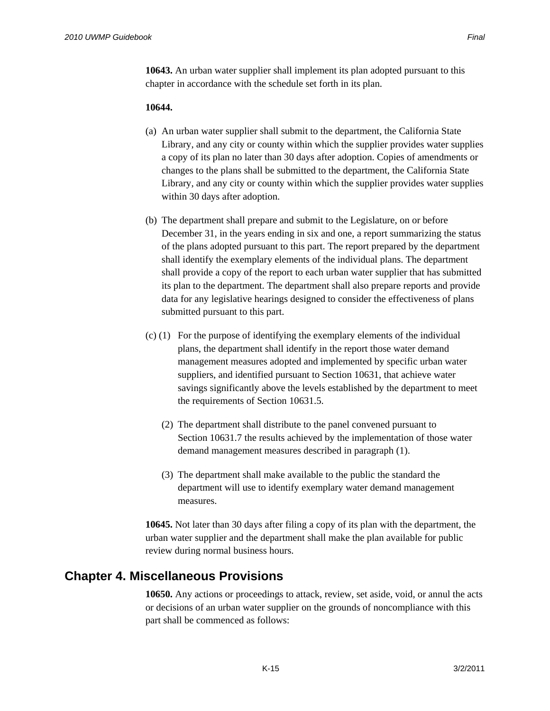**10643.** An urban water supplier shall implement its plan adopted pursuant to this chapter in accordance with the schedule set forth in its plan.

#### **10644.**

- (a) An urban water supplier shall submit to the department, the California State Library, and any city or county within which the supplier provides water supplies a copy of its plan no later than 30 days after adoption. Copies of amendments or changes to the plans shall be submitted to the department, the California State Library, and any city or county within which the supplier provides water supplies within 30 days after adoption.
- (b) The department shall prepare and submit to the Legislature, on or before December 31, in the years ending in six and one, a report summarizing the status of the plans adopted pursuant to this part. The report prepared by the department shall identify the exemplary elements of the individual plans. The department shall provide a copy of the report to each urban water supplier that has submitted its plan to the department. The department shall also prepare reports and provide data for any legislative hearings designed to consider the effectiveness of plans submitted pursuant to this part.
- (c) (1) For the purpose of identifying the exemplary elements of the individual plans, the department shall identify in the report those water demand management measures adopted and implemented by specific urban water suppliers, and identified pursuant to Section 10631, that achieve water savings significantly above the levels established by the department to meet the requirements of Section 10631.5.
	- (2) The department shall distribute to the panel convened pursuant to Section 10631.7 the results achieved by the implementation of those water demand management measures described in paragraph (1).
	- (3) The department shall make available to the public the standard the department will use to identify exemplary water demand management measures.

**10645.** Not later than 30 days after filing a copy of its plan with the department, the urban water supplier and the department shall make the plan available for public review during normal business hours.

## **Chapter 4. Miscellaneous Provisions**

**10650.** Any actions or proceedings to attack, review, set aside, void, or annul the acts or decisions of an urban water supplier on the grounds of noncompliance with this part shall be commenced as follows: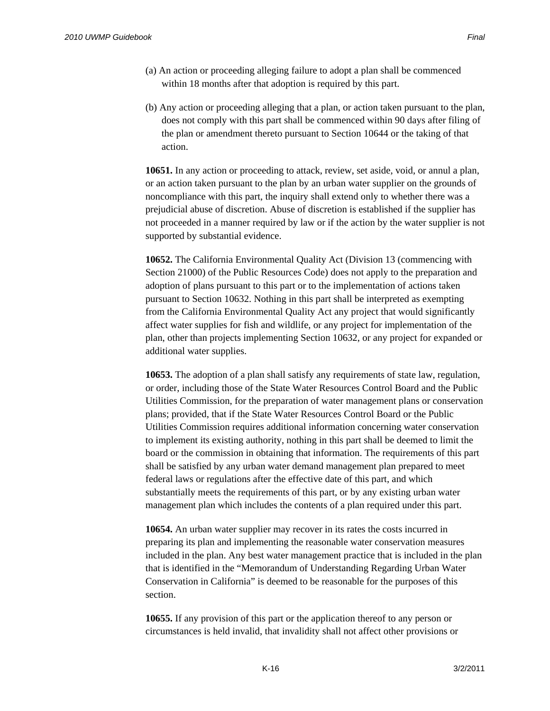- (a) An action or proceeding alleging failure to adopt a plan shall be commenced within 18 months after that adoption is required by this part.
- (b) Any action or proceeding alleging that a plan, or action taken pursuant to the plan, does not comply with this part shall be commenced within 90 days after filing of the plan or amendment thereto pursuant to Section 10644 or the taking of that action.

**10651.** In any action or proceeding to attack, review, set aside, void, or annul a plan, or an action taken pursuant to the plan by an urban water supplier on the grounds of noncompliance with this part, the inquiry shall extend only to whether there was a prejudicial abuse of discretion. Abuse of discretion is established if the supplier has not proceeded in a manner required by law or if the action by the water supplier is not supported by substantial evidence.

**10652.** The California Environmental Quality Act (Division 13 (commencing with Section 21000) of the Public Resources Code) does not apply to the preparation and adoption of plans pursuant to this part or to the implementation of actions taken pursuant to Section 10632. Nothing in this part shall be interpreted as exempting from the California Environmental Quality Act any project that would significantly affect water supplies for fish and wildlife, or any project for implementation of the plan, other than projects implementing Section 10632, or any project for expanded or additional water supplies.

**10653.** The adoption of a plan shall satisfy any requirements of state law, regulation, or order, including those of the State Water Resources Control Board and the Public Utilities Commission, for the preparation of water management plans or conservation plans; provided, that if the State Water Resources Control Board or the Public Utilities Commission requires additional information concerning water conservation to implement its existing authority, nothing in this part shall be deemed to limit the board or the commission in obtaining that information. The requirements of this part shall be satisfied by any urban water demand management plan prepared to meet federal laws or regulations after the effective date of this part, and which substantially meets the requirements of this part, or by any existing urban water management plan which includes the contents of a plan required under this part.

**10654.** An urban water supplier may recover in its rates the costs incurred in preparing its plan and implementing the reasonable water conservation measures included in the plan. Any best water management practice that is included in the plan that is identified in the "Memorandum of Understanding Regarding Urban Water Conservation in California" is deemed to be reasonable for the purposes of this section.

**10655.** If any provision of this part or the application thereof to any person or circumstances is held invalid, that invalidity shall not affect other provisions or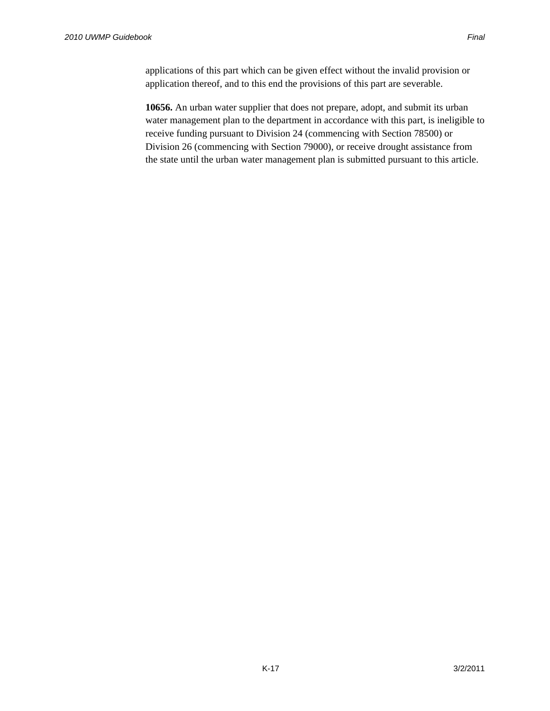applications of this part which can be given effect without the invalid provision or application thereof, and to this end the provisions of this part are severable.

**10656.** An urban water supplier that does not prepare, adopt, and submit its urban water management plan to the department in accordance with this part, is ineligible to receive funding pursuant to Division 24 (commencing with Section 78500) or Division 26 (commencing with Section 79000), or receive drought assistance from the state until the urban water management plan is submitted pursuant to this article.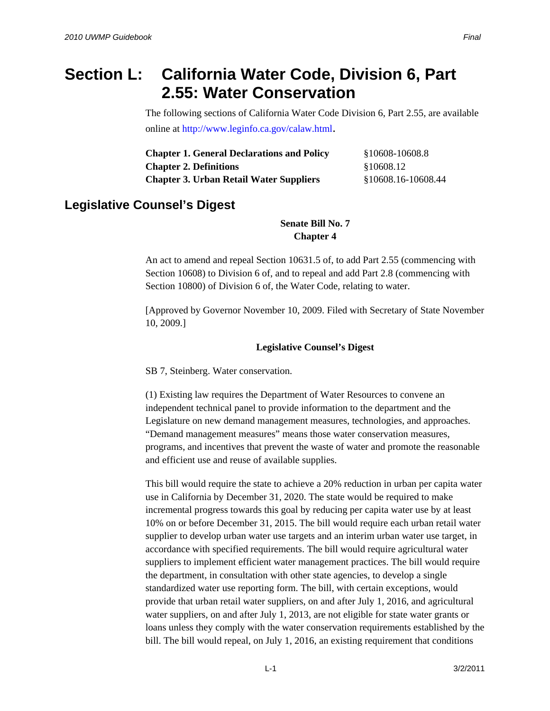# **Section L: California Water Code, Division 6, Part 2.55: Water Conservation**

The following sections of California Water Code Division 6, Part 2.55, are available online at http://www.leginfo.ca.gov/calaw.html.

| <b>Chapter 1. General Declarations and Policy</b> | §10608-10608.8      |
|---------------------------------------------------|---------------------|
| <b>Chapter 2. Definitions</b>                     | §10608.12           |
| <b>Chapter 3. Urban Retail Water Suppliers</b>    | \$10608.16-10608.44 |

## **Legislative Counsel's Digest**

**Senate Bill No. 7 Chapter 4** 

An act to amend and repeal Section 10631.5 of, to add Part 2.55 (commencing with Section 10608) to Division 6 of, and to repeal and add Part 2.8 (commencing with Section 10800) of Division 6 of, the Water Code, relating to water.

[Approved by Governor November 10, 2009. Filed with Secretary of State November 10, 2009.]

### **Legislative Counsel's Digest**

SB 7, Steinberg. Water conservation.

(1) Existing law requires the Department of Water Resources to convene an independent technical panel to provide information to the department and the Legislature on new demand management measures, technologies, and approaches. "Demand management measures" means those water conservation measures, programs, and incentives that prevent the waste of water and promote the reasonable and efficient use and reuse of available supplies.

This bill would require the state to achieve a 20% reduction in urban per capita water use in California by December 31, 2020. The state would be required to make incremental progress towards this goal by reducing per capita water use by at least 10% on or before December 31, 2015. The bill would require each urban retail water supplier to develop urban water use targets and an interim urban water use target, in accordance with specified requirements. The bill would require agricultural water suppliers to implement efficient water management practices. The bill would require the department, in consultation with other state agencies, to develop a single standardized water use reporting form. The bill, with certain exceptions, would provide that urban retail water suppliers, on and after July 1, 2016, and agricultural water suppliers, on and after July 1, 2013, are not eligible for state water grants or loans unless they comply with the water conservation requirements established by the bill. The bill would repeal, on July 1, 2016, an existing requirement that conditions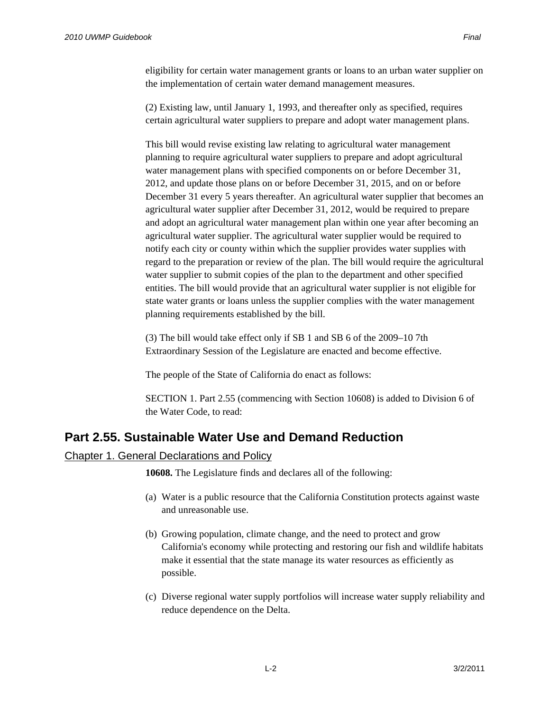eligibility for certain water management grants or loans to an urban water supplier on the implementation of certain water demand management measures.

(2) Existing law, until January 1, 1993, and thereafter only as specified, requires certain agricultural water suppliers to prepare and adopt water management plans.

This bill would revise existing law relating to agricultural water management planning to require agricultural water suppliers to prepare and adopt agricultural water management plans with specified components on or before December 31, 2012, and update those plans on or before December 31, 2015, and on or before December 31 every 5 years thereafter. An agricultural water supplier that becomes an agricultural water supplier after December 31, 2012, would be required to prepare and adopt an agricultural water management plan within one year after becoming an agricultural water supplier. The agricultural water supplier would be required to notify each city or county within which the supplier provides water supplies with regard to the preparation or review of the plan. The bill would require the agricultural water supplier to submit copies of the plan to the department and other specified entities. The bill would provide that an agricultural water supplier is not eligible for state water grants or loans unless the supplier complies with the water management planning requirements established by the bill.

(3) The bill would take effect only if SB 1 and SB 6 of the 2009–10 7th Extraordinary Session of the Legislature are enacted and become effective.

The people of the State of California do enact as follows:

SECTION 1. Part 2.55 (commencing with Section 10608) is added to Division 6 of the Water Code, to read:

## **Part 2.55. Sustainable Water Use and Demand Reduction**

### Chapter 1. General Declarations and Policy

**10608.** The Legislature finds and declares all of the following:

- (a) Water is a public resource that the California Constitution protects against waste and unreasonable use.
- (b) Growing population, climate change, and the need to protect and grow California's economy while protecting and restoring our fish and wildlife habitats make it essential that the state manage its water resources as efficiently as possible.
- (c) Diverse regional water supply portfolios will increase water supply reliability and reduce dependence on the Delta.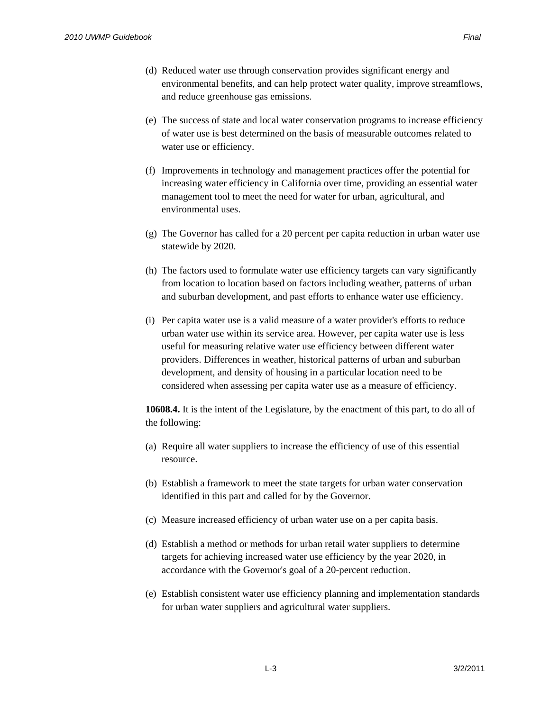- (d) Reduced water use through conservation provides significant energy and environmental benefits, and can help protect water quality, improve streamflows, and reduce greenhouse gas emissions.
- (e) The success of state and local water conservation programs to increase efficiency of water use is best determined on the basis of measurable outcomes related to water use or efficiency.
- (f) Improvements in technology and management practices offer the potential for increasing water efficiency in California over time, providing an essential water management tool to meet the need for water for urban, agricultural, and environmental uses.
- (g) The Governor has called for a 20 percent per capita reduction in urban water use statewide by 2020.
- (h) The factors used to formulate water use efficiency targets can vary significantly from location to location based on factors including weather, patterns of urban and suburban development, and past efforts to enhance water use efficiency.
- (i) Per capita water use is a valid measure of a water provider's efforts to reduce urban water use within its service area. However, per capita water use is less useful for measuring relative water use efficiency between different water providers. Differences in weather, historical patterns of urban and suburban development, and density of housing in a particular location need to be considered when assessing per capita water use as a measure of efficiency.

**10608.4.** It is the intent of the Legislature, by the enactment of this part, to do all of the following:

- (a) Require all water suppliers to increase the efficiency of use of this essential resource.
- (b) Establish a framework to meet the state targets for urban water conservation identified in this part and called for by the Governor.
- (c) Measure increased efficiency of urban water use on a per capita basis.
- (d) Establish a method or methods for urban retail water suppliers to determine targets for achieving increased water use efficiency by the year 2020, in accordance with the Governor's goal of a 20-percent reduction.
- (e) Establish consistent water use efficiency planning and implementation standards for urban water suppliers and agricultural water suppliers.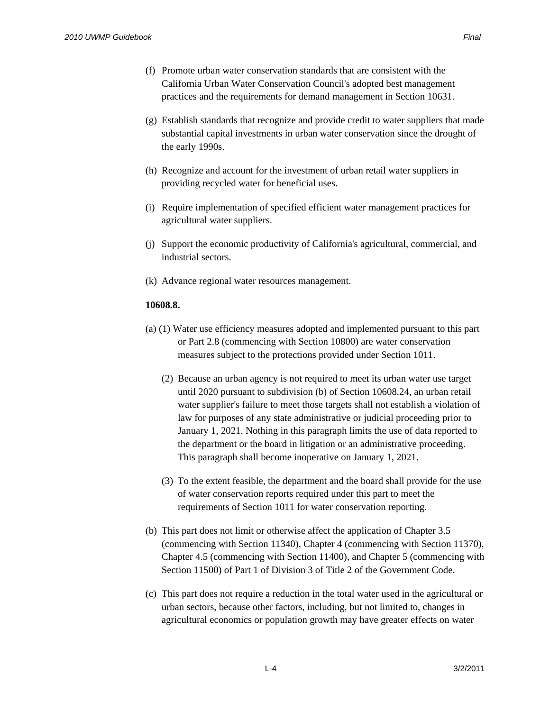- (f) Promote urban water conservation standards that are consistent with the California Urban Water Conservation Council's adopted best management practices and the requirements for demand management in Section 10631.
- (g) Establish standards that recognize and provide credit to water suppliers that made substantial capital investments in urban water conservation since the drought of the early 1990s.
- (h) Recognize and account for the investment of urban retail water suppliers in providing recycled water for beneficial uses.
- (i) Require implementation of specified efficient water management practices for agricultural water suppliers.
- (j) Support the economic productivity of California's agricultural, commercial, and industrial sectors.
- (k) Advance regional water resources management.

### **10608.8.**

- (a) (1) Water use efficiency measures adopted and implemented pursuant to this part or Part 2.8 (commencing with Section 10800) are water conservation measures subject to the protections provided under Section 1011.
	- (2) Because an urban agency is not required to meet its urban water use target until 2020 pursuant to subdivision (b) of Section 10608.24, an urban retail water supplier's failure to meet those targets shall not establish a violation of law for purposes of any state administrative or judicial proceeding prior to January 1, 2021. Nothing in this paragraph limits the use of data reported to the department or the board in litigation or an administrative proceeding. This paragraph shall become inoperative on January 1, 2021.
	- (3) To the extent feasible, the department and the board shall provide for the use of water conservation reports required under this part to meet the requirements of Section 1011 for water conservation reporting.
- (b) This part does not limit or otherwise affect the application of Chapter 3.5 (commencing with Section 11340), Chapter 4 (commencing with Section 11370), Chapter 4.5 (commencing with Section 11400), and Chapter 5 (commencing with Section 11500) of Part 1 of Division 3 of Title 2 of the Government Code.
- (c) This part does not require a reduction in the total water used in the agricultural or urban sectors, because other factors, including, but not limited to, changes in agricultural economics or population growth may have greater effects on water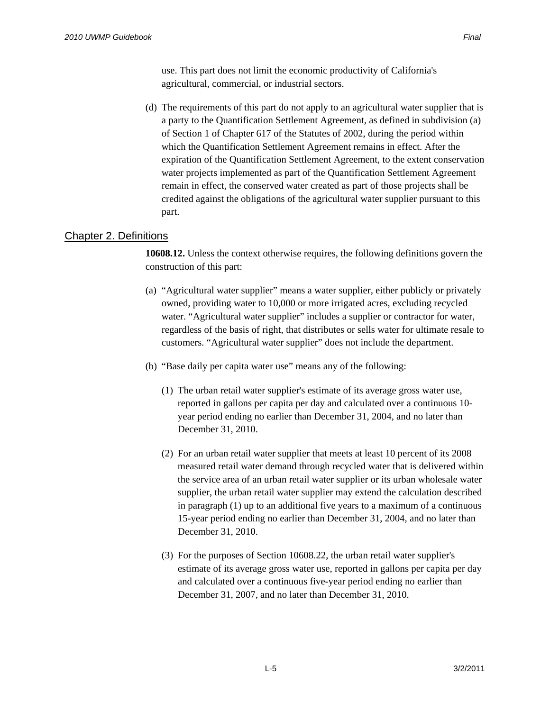use. This part does not limit the economic productivity of California's agricultural, commercial, or industrial sectors.

(d) The requirements of this part do not apply to an agricultural water supplier that is a party to the Quantification Settlement Agreement, as defined in subdivision (a) of Section 1 of Chapter 617 of the Statutes of 2002, during the period within which the Quantification Settlement Agreement remains in effect. After the expiration of the Quantification Settlement Agreement, to the extent conservation water projects implemented as part of the Quantification Settlement Agreement remain in effect, the conserved water created as part of those projects shall be credited against the obligations of the agricultural water supplier pursuant to this part.

### Chapter 2. Definitions

**10608.12.** Unless the context otherwise requires, the following definitions govern the construction of this part:

- (a) "Agricultural water supplier" means a water supplier, either publicly or privately owned, providing water to 10,000 or more irrigated acres, excluding recycled water. "Agricultural water supplier" includes a supplier or contractor for water, regardless of the basis of right, that distributes or sells water for ultimate resale to customers. "Agricultural water supplier" does not include the department.
- (b) "Base daily per capita water use" means any of the following:
	- (1) The urban retail water supplier's estimate of its average gross water use, reported in gallons per capita per day and calculated over a continuous 10 year period ending no earlier than December 31, 2004, and no later than December 31, 2010.
	- (2) For an urban retail water supplier that meets at least 10 percent of its 2008 measured retail water demand through recycled water that is delivered within the service area of an urban retail water supplier or its urban wholesale water supplier, the urban retail water supplier may extend the calculation described in paragraph (1) up to an additional five years to a maximum of a continuous 15-year period ending no earlier than December 31, 2004, and no later than December 31, 2010.
	- (3) For the purposes of Section 10608.22, the urban retail water supplier's estimate of its average gross water use, reported in gallons per capita per day and calculated over a continuous five-year period ending no earlier than December 31, 2007, and no later than December 31, 2010.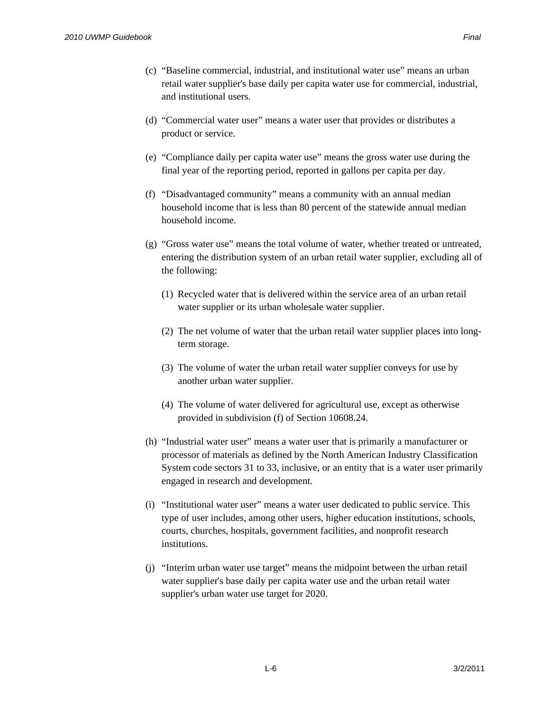- (c) "Baseline commercial, industrial, and institutional water use" means an urban retail water supplier's base daily per capita water use for commercial, industrial, and institutional users.
- (d) "Commercial water user" means a water user that provides or distributes a product or service.
- (e) "Compliance daily per capita water use" means the gross water use during the final year of the reporting period, reported in gallons per capita per day.
- (f) "Disadvantaged community" means a community with an annual median household income that is less than 80 percent of the statewide annual median household income.
- (g) "Gross water use" means the total volume of water, whether treated or untreated, entering the distribution system of an urban retail water supplier, excluding all of the following:
	- (1) Recycled water that is delivered within the service area of an urban retail water supplier or its urban wholesale water supplier.
	- (2) The net volume of water that the urban retail water supplier places into longterm storage.
	- (3) The volume of water the urban retail water supplier conveys for use by another urban water supplier.
	- (4) The volume of water delivered for agricultural use, except as otherwise provided in subdivision (f) of Section 10608.24.
- (h) "Industrial water user" means a water user that is primarily a manufacturer or processor of materials as defined by the North American Industry Classification System code sectors 31 to 33, inclusive, or an entity that is a water user primarily engaged in research and development.
- (i) "Institutional water user" means a water user dedicated to public service. This type of user includes, among other users, higher education institutions, schools, courts, churches, hospitals, government facilities, and nonprofit research institutions.
- (j) "Interim urban water use target" means the midpoint between the urban retail water supplier's base daily per capita water use and the urban retail water supplier's urban water use target for 2020.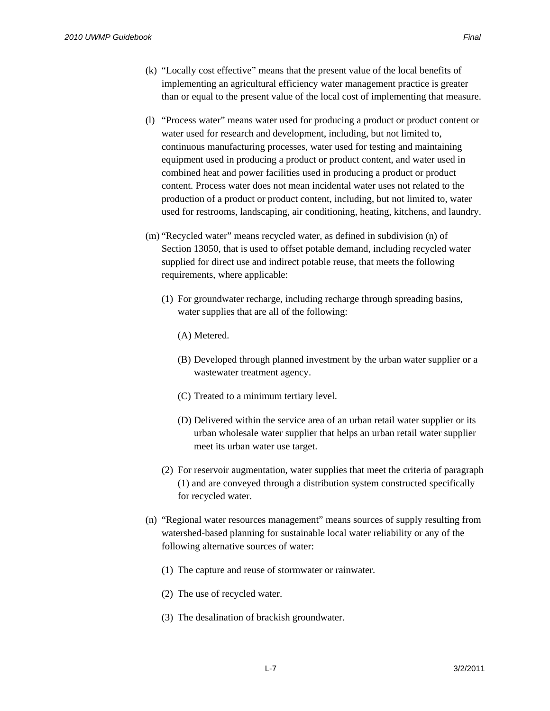- (k) "Locally cost effective" means that the present value of the local benefits of implementing an agricultural efficiency water management practice is greater than or equal to the present value of the local cost of implementing that measure.
- (l) "Process water" means water used for producing a product or product content or water used for research and development, including, but not limited to, continuous manufacturing processes, water used for testing and maintaining equipment used in producing a product or product content, and water used in combined heat and power facilities used in producing a product or product content. Process water does not mean incidental water uses not related to the production of a product or product content, including, but not limited to, water used for restrooms, landscaping, air conditioning, heating, kitchens, and laundry.
- (m) "Recycled water" means recycled water, as defined in subdivision (n) of Section 13050, that is used to offset potable demand, including recycled water supplied for direct use and indirect potable reuse, that meets the following requirements, where applicable:
	- (1) For groundwater recharge, including recharge through spreading basins, water supplies that are all of the following:
		- (A) Metered.
		- (B) Developed through planned investment by the urban water supplier or a wastewater treatment agency.
		- (C) Treated to a minimum tertiary level.
		- (D) Delivered within the service area of an urban retail water supplier or its urban wholesale water supplier that helps an urban retail water supplier meet its urban water use target.
	- (2) For reservoir augmentation, water supplies that meet the criteria of paragraph (1) and are conveyed through a distribution system constructed specifically for recycled water.
- (n) "Regional water resources management" means sources of supply resulting from watershed-based planning for sustainable local water reliability or any of the following alternative sources of water:
	- (1) The capture and reuse of stormwater or rainwater.
	- (2) The use of recycled water.
	- (3) The desalination of brackish groundwater.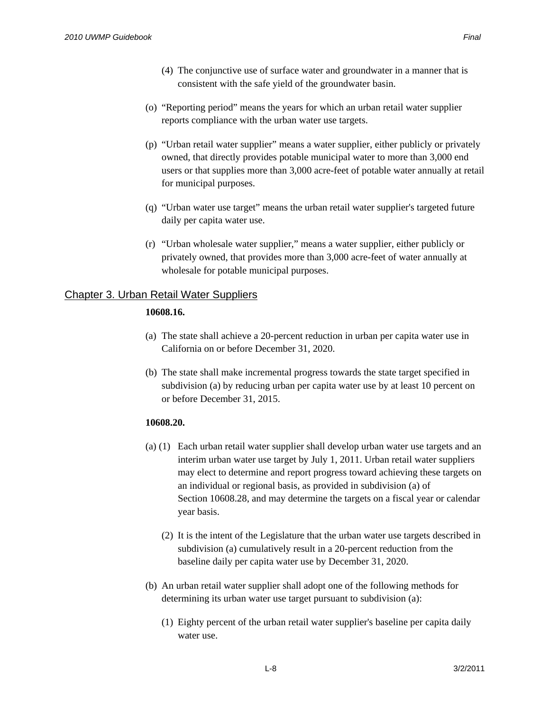- (4) The conjunctive use of surface water and groundwater in a manner that is consistent with the safe yield of the groundwater basin.
- (o) "Reporting period" means the years for which an urban retail water supplier reports compliance with the urban water use targets.
- (p) "Urban retail water supplier" means a water supplier, either publicly or privately owned, that directly provides potable municipal water to more than 3,000 end users or that supplies more than 3,000 acre-feet of potable water annually at retail for municipal purposes.
- (q) "Urban water use target" means the urban retail water supplier's targeted future daily per capita water use.
- (r) "Urban wholesale water supplier," means a water supplier, either publicly or privately owned, that provides more than 3,000 acre-feet of water annually at wholesale for potable municipal purposes.

### Chapter 3. Urban Retail Water Suppliers

### **10608.16.**

- (a) The state shall achieve a 20-percent reduction in urban per capita water use in California on or before December 31, 2020.
- (b) The state shall make incremental progress towards the state target specified in subdivision (a) by reducing urban per capita water use by at least 10 percent on or before December 31, 2015.

### **10608.20.**

- (a) (1) Each urban retail water supplier shall develop urban water use targets and an interim urban water use target by July 1, 2011. Urban retail water suppliers may elect to determine and report progress toward achieving these targets on an individual or regional basis, as provided in subdivision (a) of Section 10608.28, and may determine the targets on a fiscal year or calendar year basis.
	- (2) It is the intent of the Legislature that the urban water use targets described in subdivision (a) cumulatively result in a 20-percent reduction from the baseline daily per capita water use by December 31, 2020.
- (b) An urban retail water supplier shall adopt one of the following methods for determining its urban water use target pursuant to subdivision (a):
	- (1) Eighty percent of the urban retail water supplier's baseline per capita daily water use.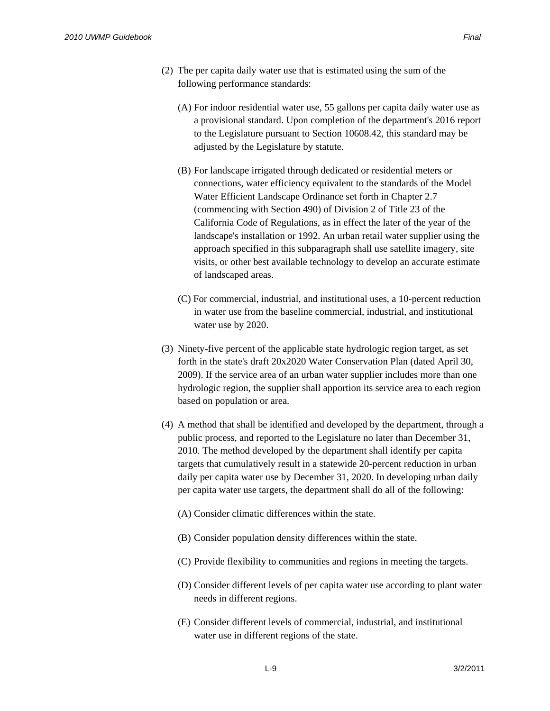- (A) For indoor residential water use, 55 gallons per capita daily water use as a provisional standard. Upon completion of the department's 2016 report to the Legislature pursuant to Section 10608.42, this standard may be adjusted by the Legislature by statute.
- (B) For landscape irrigated through dedicated or residential meters or connections, water efficiency equivalent to the standards of the Model Water Efficient Landscape Ordinance set forth in Chapter 2.7 (commencing with Section 490) of Division 2 of Title 23 of the California Code of Regulations, as in effect the later of the year of the landscape's installation or 1992. An urban retail water supplier using the approach specified in this subparagraph shall use satellite imagery, site visits, or other best available technology to develop an accurate estimate of landscaped areas.
- (C) For commercial, industrial, and institutional uses, a 10-percent reduction in water use from the baseline commercial, industrial, and institutional water use by 2020.
- (3) Ninety-five percent of the applicable state hydrologic region target, as set forth in the state's draft 20x2020 Water Conservation Plan (dated April 30, 2009). If the service area of an urban water supplier includes more than one hydrologic region, the supplier shall apportion its service area to each region based on population or area.
- (4) A method that shall be identified and developed by the department, through a public process, and reported to the Legislature no later than December 31, 2010. The method developed by the department shall identify per capita targets that cumulatively result in a statewide 20-percent reduction in urban daily per capita water use by December 31, 2020. In developing urban daily per capita water use targets, the department shall do all of the following:
	- (A) Consider climatic differences within the state.
	- (B) Consider population density differences within the state.
	- (C) Provide flexibility to communities and regions in meeting the targets.
	- (D) Consider different levels of per capita water use according to plant water needs in different regions.
	- (E) Consider different levels of commercial, industrial, and institutional water use in different regions of the state.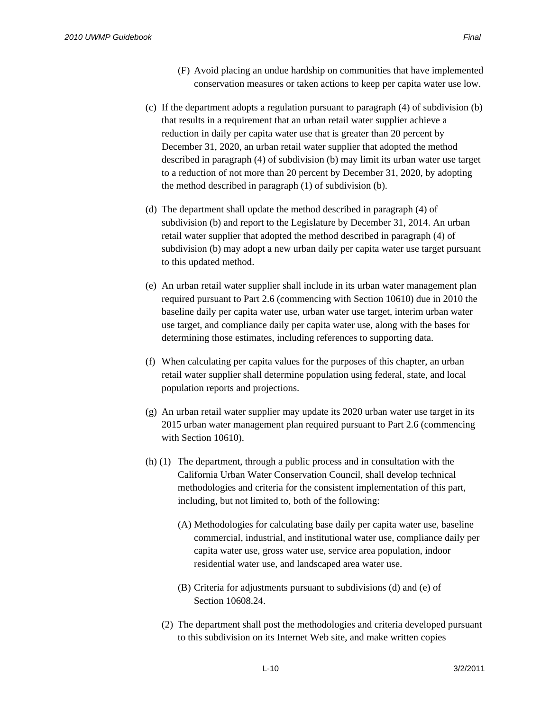- (F) Avoid placing an undue hardship on communities that have implemented conservation measures or taken actions to keep per capita water use low.
- (c) If the department adopts a regulation pursuant to paragraph (4) of subdivision (b) that results in a requirement that an urban retail water supplier achieve a reduction in daily per capita water use that is greater than 20 percent by December 31, 2020, an urban retail water supplier that adopted the method described in paragraph (4) of subdivision (b) may limit its urban water use target to a reduction of not more than 20 percent by December 31, 2020, by adopting the method described in paragraph (1) of subdivision (b).
- (d) The department shall update the method described in paragraph (4) of subdivision (b) and report to the Legislature by December 31, 2014. An urban retail water supplier that adopted the method described in paragraph (4) of subdivision (b) may adopt a new urban daily per capita water use target pursuant to this updated method.
- (e) An urban retail water supplier shall include in its urban water management plan required pursuant to Part 2.6 (commencing with Section 10610) due in 2010 the baseline daily per capita water use, urban water use target, interim urban water use target, and compliance daily per capita water use, along with the bases for determining those estimates, including references to supporting data.
- (f) When calculating per capita values for the purposes of this chapter, an urban retail water supplier shall determine population using federal, state, and local population reports and projections.
- (g) An urban retail water supplier may update its 2020 urban water use target in its 2015 urban water management plan required pursuant to Part 2.6 (commencing with Section 10610).
- (h) (1) The department, through a public process and in consultation with the California Urban Water Conservation Council, shall develop technical methodologies and criteria for the consistent implementation of this part, including, but not limited to, both of the following:
	- (A) Methodologies for calculating base daily per capita water use, baseline commercial, industrial, and institutional water use, compliance daily per capita water use, gross water use, service area population, indoor residential water use, and landscaped area water use.
	- (B) Criteria for adjustments pursuant to subdivisions (d) and (e) of Section 10608.24.
	- (2) The department shall post the methodologies and criteria developed pursuant to this subdivision on its Internet Web site, and make written copies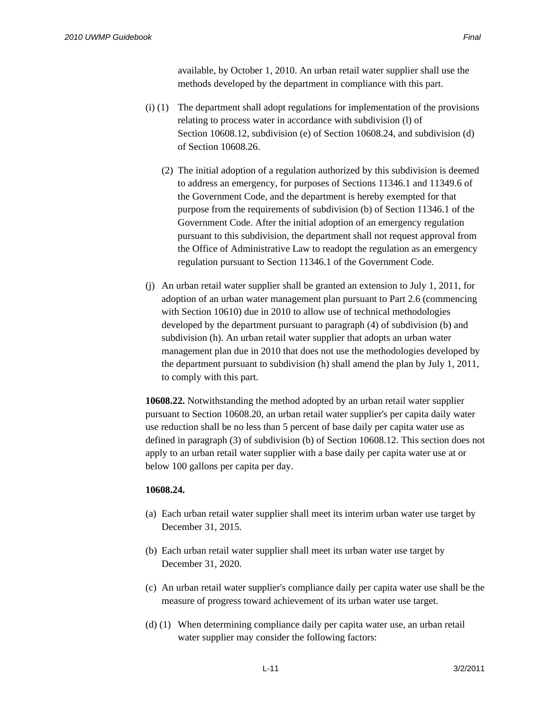available, by October 1, 2010. An urban retail water supplier shall use the methods developed by the department in compliance with this part.

- (i) (1) The department shall adopt regulations for implementation of the provisions relating to process water in accordance with subdivision (l) of Section 10608.12, subdivision (e) of Section 10608.24, and subdivision (d) of Section 10608.26.
	- (2) The initial adoption of a regulation authorized by this subdivision is deemed to address an emergency, for purposes of Sections 11346.1 and 11349.6 of the Government Code, and the department is hereby exempted for that purpose from the requirements of subdivision (b) of Section 11346.1 of the Government Code. After the initial adoption of an emergency regulation pursuant to this subdivision, the department shall not request approval from the Office of Administrative Law to readopt the regulation as an emergency regulation pursuant to Section 11346.1 of the Government Code.
- (j) An urban retail water supplier shall be granted an extension to July 1, 2011, for adoption of an urban water management plan pursuant to Part 2.6 (commencing with Section 10610) due in 2010 to allow use of technical methodologies developed by the department pursuant to paragraph (4) of subdivision (b) and subdivision (h). An urban retail water supplier that adopts an urban water management plan due in 2010 that does not use the methodologies developed by the department pursuant to subdivision (h) shall amend the plan by July 1, 2011, to comply with this part.

**10608.22.** Notwithstanding the method adopted by an urban retail water supplier pursuant to Section 10608.20, an urban retail water supplier's per capita daily water use reduction shall be no less than 5 percent of base daily per capita water use as defined in paragraph (3) of subdivision (b) of Section 10608.12. This section does not apply to an urban retail water supplier with a base daily per capita water use at or below 100 gallons per capita per day.

### **10608.24.**

- (a) Each urban retail water supplier shall meet its interim urban water use target by December 31, 2015.
- (b) Each urban retail water supplier shall meet its urban water use target by December 31, 2020.
- (c) An urban retail water supplier's compliance daily per capita water use shall be the measure of progress toward achievement of its urban water use target.
- (d) (1) When determining compliance daily per capita water use, an urban retail water supplier may consider the following factors: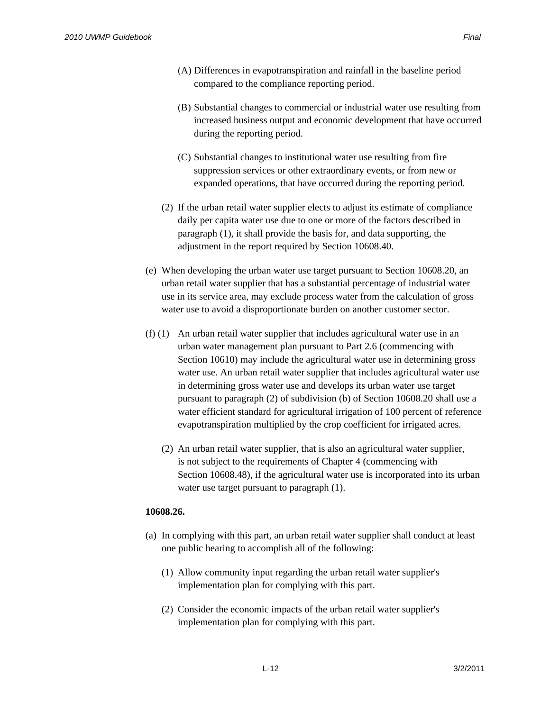- (B) Substantial changes to commercial or industrial water use resulting from increased business output and economic development that have occurred during the reporting period.
- (C) Substantial changes to institutional water use resulting from fire suppression services or other extraordinary events, or from new or expanded operations, that have occurred during the reporting period.
- (2) If the urban retail water supplier elects to adjust its estimate of compliance daily per capita water use due to one or more of the factors described in paragraph (1), it shall provide the basis for, and data supporting, the adjustment in the report required by Section 10608.40.
- (e) When developing the urban water use target pursuant to Section 10608.20, an urban retail water supplier that has a substantial percentage of industrial water use in its service area, may exclude process water from the calculation of gross water use to avoid a disproportionate burden on another customer sector.
- (f) (1) An urban retail water supplier that includes agricultural water use in an urban water management plan pursuant to Part 2.6 (commencing with Section 10610) may include the agricultural water use in determining gross water use. An urban retail water supplier that includes agricultural water use in determining gross water use and develops its urban water use target pursuant to paragraph (2) of subdivision (b) of Section 10608.20 shall use a water efficient standard for agricultural irrigation of 100 percent of reference evapotranspiration multiplied by the crop coefficient for irrigated acres.
	- (2) An urban retail water supplier, that is also an agricultural water supplier, is not subject to the requirements of Chapter 4 (commencing with Section 10608.48), if the agricultural water use is incorporated into its urban water use target pursuant to paragraph  $(1)$ .

### **10608.26.**

- (a) In complying with this part, an urban retail water supplier shall conduct at least one public hearing to accomplish all of the following:
	- (1) Allow community input regarding the urban retail water supplier's implementation plan for complying with this part.
	- (2) Consider the economic impacts of the urban retail water supplier's implementation plan for complying with this part.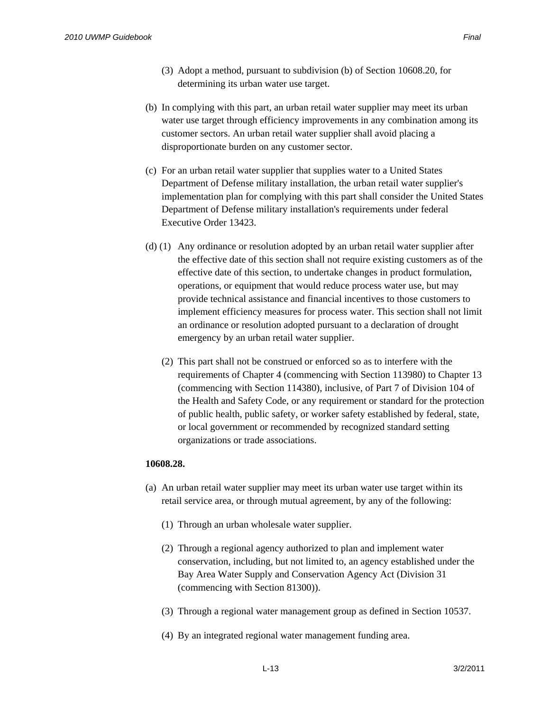- (3) Adopt a method, pursuant to subdivision (b) of Section 10608.20, for determining its urban water use target.
- (b) In complying with this part, an urban retail water supplier may meet its urban water use target through efficiency improvements in any combination among its customer sectors. An urban retail water supplier shall avoid placing a disproportionate burden on any customer sector.
- (c) For an urban retail water supplier that supplies water to a United States Department of Defense military installation, the urban retail water supplier's implementation plan for complying with this part shall consider the United States Department of Defense military installation's requirements under federal Executive Order 13423.
- (d) (1) Any ordinance or resolution adopted by an urban retail water supplier after the effective date of this section shall not require existing customers as of the effective date of this section, to undertake changes in product formulation, operations, or equipment that would reduce process water use, but may provide technical assistance and financial incentives to those customers to implement efficiency measures for process water. This section shall not limit an ordinance or resolution adopted pursuant to a declaration of drought emergency by an urban retail water supplier.
	- (2) This part shall not be construed or enforced so as to interfere with the requirements of Chapter 4 (commencing with Section 113980) to Chapter 13 (commencing with Section 114380), inclusive, of Part 7 of Division 104 of the Health and Safety Code, or any requirement or standard for the protection of public health, public safety, or worker safety established by federal, state, or local government or recommended by recognized standard setting organizations or trade associations.

### **10608.28.**

- (a) An urban retail water supplier may meet its urban water use target within its retail service area, or through mutual agreement, by any of the following:
	- (1) Through an urban wholesale water supplier.
	- (2) Through a regional agency authorized to plan and implement water conservation, including, but not limited to, an agency established under the Bay Area Water Supply and Conservation Agency Act (Division 31 (commencing with Section 81300)).
	- (3) Through a regional water management group as defined in Section 10537.
	- (4) By an integrated regional water management funding area.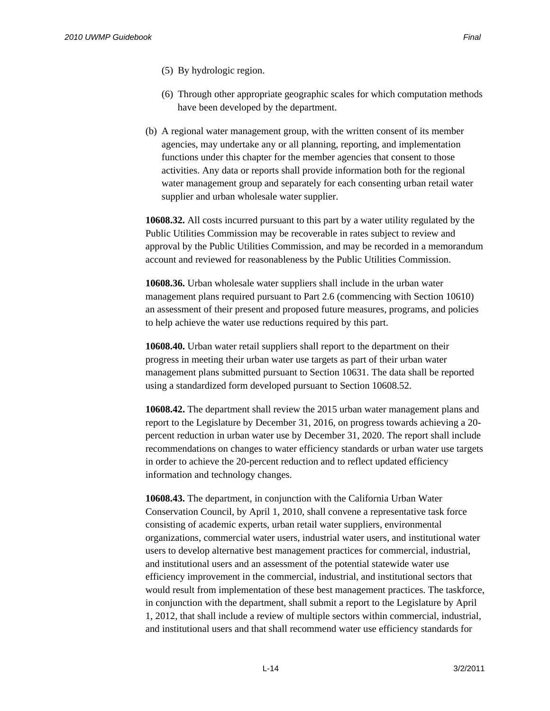- (5) By hydrologic region.
- (6) Through other appropriate geographic scales for which computation methods have been developed by the department.
- (b) A regional water management group, with the written consent of its member agencies, may undertake any or all planning, reporting, and implementation functions under this chapter for the member agencies that consent to those activities. Any data or reports shall provide information both for the regional water management group and separately for each consenting urban retail water supplier and urban wholesale water supplier.

**10608.32.** All costs incurred pursuant to this part by a water utility regulated by the Public Utilities Commission may be recoverable in rates subject to review and approval by the Public Utilities Commission, and may be recorded in a memorandum account and reviewed for reasonableness by the Public Utilities Commission.

**10608.36.** Urban wholesale water suppliers shall include in the urban water management plans required pursuant to Part 2.6 (commencing with Section 10610) an assessment of their present and proposed future measures, programs, and policies to help achieve the water use reductions required by this part.

**10608.40.** Urban water retail suppliers shall report to the department on their progress in meeting their urban water use targets as part of their urban water management plans submitted pursuant to Section 10631. The data shall be reported using a standardized form developed pursuant to Section 10608.52.

**10608.42.** The department shall review the 2015 urban water management plans and report to the Legislature by December 31, 2016, on progress towards achieving a 20 percent reduction in urban water use by December 31, 2020. The report shall include recommendations on changes to water efficiency standards or urban water use targets in order to achieve the 20-percent reduction and to reflect updated efficiency information and technology changes.

**10608.43.** The department, in conjunction with the California Urban Water Conservation Council, by April 1, 2010, shall convene a representative task force consisting of academic experts, urban retail water suppliers, environmental organizations, commercial water users, industrial water users, and institutional water users to develop alternative best management practices for commercial, industrial, and institutional users and an assessment of the potential statewide water use efficiency improvement in the commercial, industrial, and institutional sectors that would result from implementation of these best management practices. The taskforce, in conjunction with the department, shall submit a report to the Legislature by April 1, 2012, that shall include a review of multiple sectors within commercial, industrial, and institutional users and that shall recommend water use efficiency standards for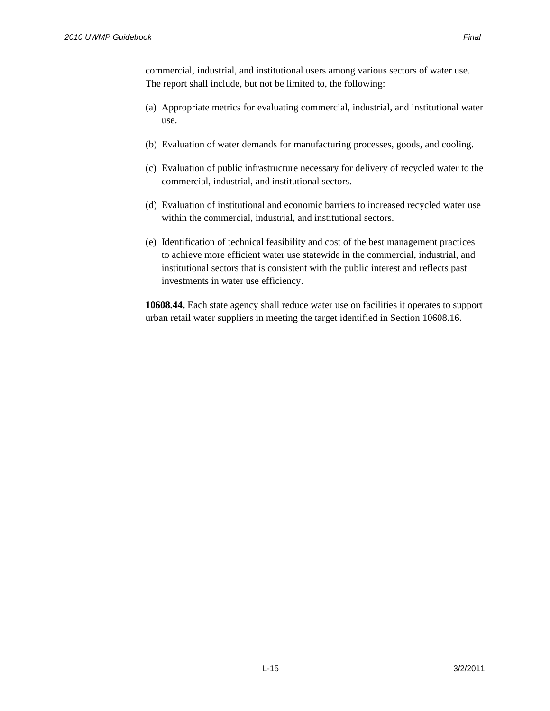commercial, industrial, and institutional users among various sectors of water use. The report shall include, but not be limited to, the following:

- (a) Appropriate metrics for evaluating commercial, industrial, and institutional water use.
- (b) Evaluation of water demands for manufacturing processes, goods, and cooling.
- (c) Evaluation of public infrastructure necessary for delivery of recycled water to the commercial, industrial, and institutional sectors.
- (d) Evaluation of institutional and economic barriers to increased recycled water use within the commercial, industrial, and institutional sectors.
- (e) Identification of technical feasibility and cost of the best management practices to achieve more efficient water use statewide in the commercial, industrial, and institutional sectors that is consistent with the public interest and reflects past investments in water use efficiency.

**10608.44.** Each state agency shall reduce water use on facilities it operates to support urban retail water suppliers in meeting the target identified in Section 10608.16.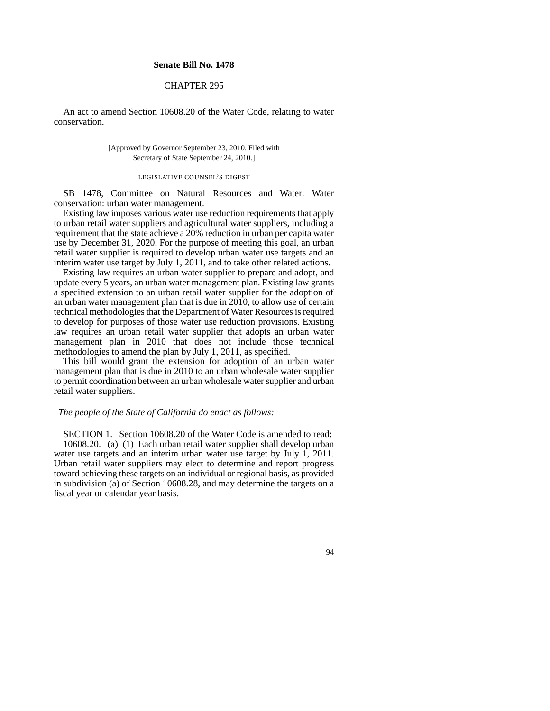#### **Senate Bill No. 1478**

#### CHAPTER 295

An act to amend Section 10608.20 of the Water Code, relating to water conservation.

> [Approved by Governor September 23, 2010. Filed with Secretary of State September 24, 2010.]

#### legislative counsel's digest

SB 1478, Committee on Natural Resources and Water. Water conservation: urban water management.

Existing law imposes various water use reduction requirements that apply to urban retail water suppliers and agricultural water suppliers, including a requirement that the state achieve a 20% reduction in urban per capita water use by December 31, 2020. For the purpose of meeting this goal, an urban retail water supplier is required to develop urban water use targets and an interim water use target by July 1, 2011, and to take other related actions.

Existing law requires an urban water supplier to prepare and adopt, and update every 5 years, an urban water management plan. Existing law grants a specified extension to an urban retail water supplier for the adoption of an urban water management plan that is due in 2010, to allow use of certain technical methodologies that the Department of Water Resources is required to develop for purposes of those water use reduction provisions. Existing law requires an urban retail water supplier that adopts an urban water management plan in 2010 that does not include those technical methodologies to amend the plan by July 1, 2011, as specified.

This bill would grant the extension for adoption of an urban water management plan that is due in 2010 to an urban wholesale water supplier to permit coordination between an urban wholesale water supplier and urban retail water suppliers.

#### *The people of the State of California do enact as follows:*

SECTION 1. Section 10608.20 of the Water Code is amended to read: 10608.20. (a) (1) Each urban retail water supplier shall develop urban water use targets and an interim urban water use target by July 1, 2011. Urban retail water suppliers may elect to determine and report progress toward achieving these targets on an individual or regional basis, as provided in subdivision (a) of Section 10608.28, and may determine the targets on a fiscal year or calendar year basis.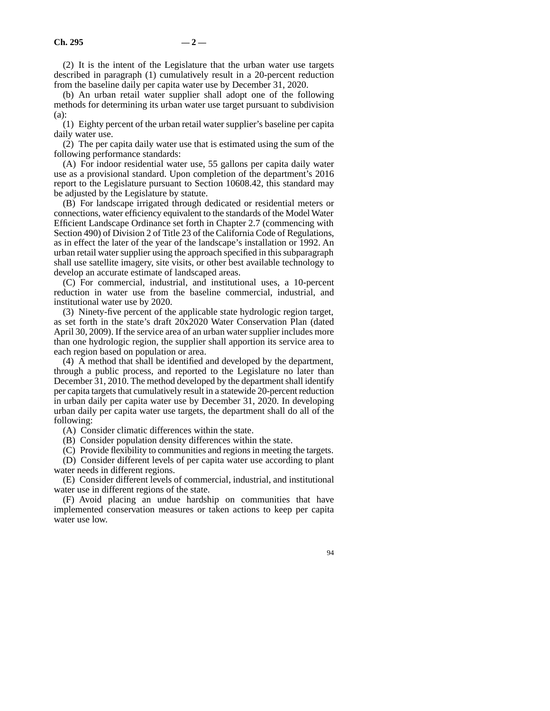(2) It is the intent of the Legislature that the urban water use targets described in paragraph (1) cumulatively result in a 20-percent reduction from the baseline daily per capita water use by December 31, 2020.

(b) An urban retail water supplier shall adopt one of the following methods for determining its urban water use target pursuant to subdivision (a):

(1) Eighty percent of the urban retail water supplier's baseline per capita daily water use.

(2) The per capita daily water use that is estimated using the sum of the following performance standards:

(A) For indoor residential water use, 55 gallons per capita daily water use as a provisional standard. Upon completion of the department's 2016 report to the Legislature pursuant to Section 10608.42, this standard may be adjusted by the Legislature by statute.

(B) For landscape irrigated through dedicated or residential meters or connections, water efficiency equivalent to the standards of the Model Water Efficient Landscape Ordinance set forth in Chapter 2.7 (commencing with Section 490) of Division 2 of Title 23 of the California Code of Regulations, as in effect the later of the year of the landscape's installation or 1992. An urban retail water supplier using the approach specified in this subparagraph shall use satellite imagery, site visits, or other best available technology to develop an accurate estimate of landscaped areas.

(C) For commercial, industrial, and institutional uses, a 10-percent reduction in water use from the baseline commercial, industrial, and institutional water use by 2020.

(3) Ninety-five percent of the applicable state hydrologic region target, as set forth in the state's draft 20x2020 Water Conservation Plan (dated April 30, 2009). If the service area of an urban water supplier includes more than one hydrologic region, the supplier shall apportion its service area to each region based on population or area.

(4) A method that shall be identified and developed by the department, through a public process, and reported to the Legislature no later than December 31, 2010. The method developed by the department shall identify per capita targets that cumulatively result in a statewide 20-percent reduction in urban daily per capita water use by December 31, 2020. In developing urban daily per capita water use targets, the department shall do all of the following:

(A) Consider climatic differences within the state.

(B) Consider population density differences within the state.

(C) Provide flexibility to communities and regions in meeting the targets.

(D) Consider different levels of per capita water use according to plant water needs in different regions.

(E) Consider different levels of commercial, industrial, and institutional water use in different regions of the state.

(F) Avoid placing an undue hardship on communities that have implemented conservation measures or taken actions to keep per capita water use low.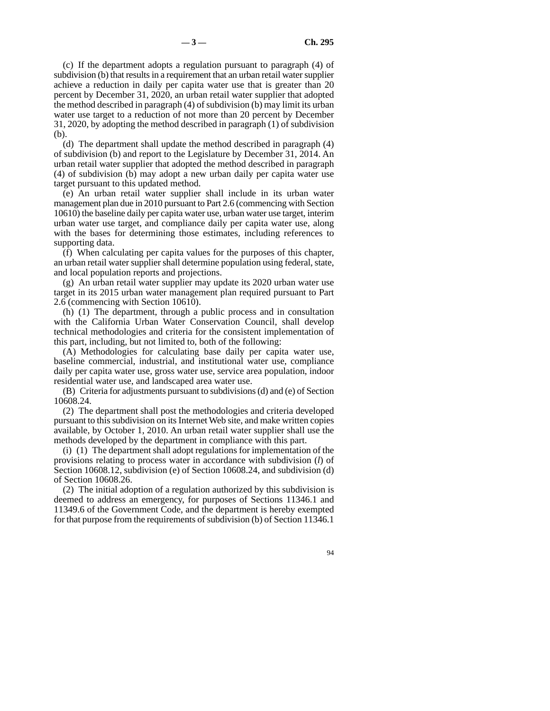(c) If the department adopts a regulation pursuant to paragraph (4) of subdivision (b) that results in a requirement that an urban retail water supplier achieve a reduction in daily per capita water use that is greater than 20 percent by December 31, 2020, an urban retail water supplier that adopted the method described in paragraph (4) of subdivision (b) may limit its urban water use target to a reduction of not more than 20 percent by December 31, 2020, by adopting the method described in paragraph (1) of subdivision (b).

(d) The department shall update the method described in paragraph (4) of subdivision (b) and report to the Legislature by December 31, 2014. An urban retail water supplier that adopted the method described in paragraph (4) of subdivision (b) may adopt a new urban daily per capita water use target pursuant to this updated method.

(e) An urban retail water supplier shall include in its urban water management plan due in 2010 pursuant to Part 2.6 (commencing with Section 10610) the baseline daily per capita water use, urban water use target, interim urban water use target, and compliance daily per capita water use, along with the bases for determining those estimates, including references to supporting data.

(f) When calculating per capita values for the purposes of this chapter, an urban retail water supplier shall determine population using federal, state, and local population reports and projections.

(g) An urban retail water supplier may update its 2020 urban water use target in its 2015 urban water management plan required pursuant to Part 2.6 (commencing with Section 10610).

(h) (1) The department, through a public process and in consultation with the California Urban Water Conservation Council, shall develop technical methodologies and criteria for the consistent implementation of this part, including, but not limited to, both of the following:

(A) Methodologies for calculating base daily per capita water use, baseline commercial, industrial, and institutional water use, compliance daily per capita water use, gross water use, service area population, indoor residential water use, and landscaped area water use.

(B) Criteria for adjustments pursuant to subdivisions (d) and (e) of Section 10608.24.

(2) The department shall post the methodologies and criteria developed pursuant to this subdivision on its Internet Web site, and make written copies available, by October 1, 2010. An urban retail water supplier shall use the methods developed by the department in compliance with this part.

(i) (1) The department shall adopt regulations for implementation of the provisions relating to process water in accordance with subdivision (*l*) of Section 10608.12, subdivision (e) of Section 10608.24, and subdivision (d) of Section 10608.26.

(2) The initial adoption of a regulation authorized by this subdivision is deemed to address an emergency, for purposes of Sections 11346.1 and 11349.6 of the Government Code, and the department is hereby exempted for that purpose from the requirements of subdivision (b) of Section 11346.1